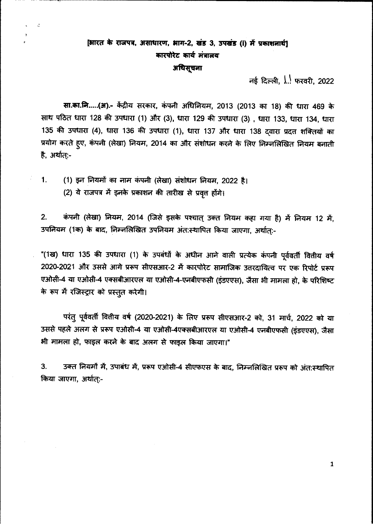# [आरत के राजपत्र, असाधारण, भाग-2, खंड 3, उपखंड (i) में प्रकाशनार्थ] कारपोरेट कार्य मंत्रालय अधिसूचना

 $-$  नई दिल्ली,  $\frac{1}{2}$ , फरवरी, 2022

सा.का.नि.....(अ) .- केंद्रीय सरकार, कंपनी अधिनियम, 2013 (2013 का 18) की धारा 469 के साथ पठित धारा 128 की उपधारा (1) और (3), धारा 129 की उपधारा (3), धारा 133, धारा 134, धारा 135 की उपधारा (4), धारा 136 की उपधारा (1), धारा 137 और धारा 138 दवारा प्रदत्त शक्तियों का प्रयोग करते हुए, कंपनी (लेखा) नियम, 2014 का और संशोधन करने के लिए निम्नलिखित नियम बनाती है, अर्थात्:-

1. (1) इन नियमों का नाम कंपनी (लेखा) संशोधन नियम, 2022 है।

k.

(2) ये राजपत्र में इनके प्रकाशन की तारीख से प्रवृत होंगे।

2. कंपनी (लेखा) नियम, 2014 (जिसे इसके पश्चात् उक्त नियम कहा गया है) में नियम 12 में, 3पनियम (1क) के बाद, निम्नलिखित उपनियम अंत:स्थापित किया जाएगा, अर्थात्:-

"(1ख) धारा 135 की उपधारा (1) के उपबंधों के अधीन आने वाली प्रत्येक कंपनी पूर्ववर्ती वितीय वर्ष 2020-2021 और उससे आगे प्ररूप सीएसआर-2 में कारपोरेट सामाजिक उत्तरदायित्व पर एक रिपोर्ट प्ररूप एओसी-4 या एओसी-4 एक्सबीआरएल या एओसी-4-एनबीएफसी (इंडएएस), जैसा भी मामला हो, के परिशिष्ट के रूप में रजिस्ट्रार को प्रस्तुत करेगी।

परंतु पूर्ववर्ती वितीय वर्ष (2020-2021) के लिए प्ररूप सीएसआर-2 को, 31 मार्च, 2022 को या उससे पहले अलग से प्ररूप एओसी-4 या एओसी-4एक्सबीआरएल या एओसी-4 एनबीएफसी (इंडएएस), जैसा भी मामला हो, फाइल करने के बाद अलग से फाइल किया जाएगा।"

3. 30 3क्त नियमों में, उपाबंध में, प्ररूप एओसी-4 सीएफएस के बाद, निम्नलिखित प्ररूप को अंत:स्थापित किया जाएगा, अर्थात:-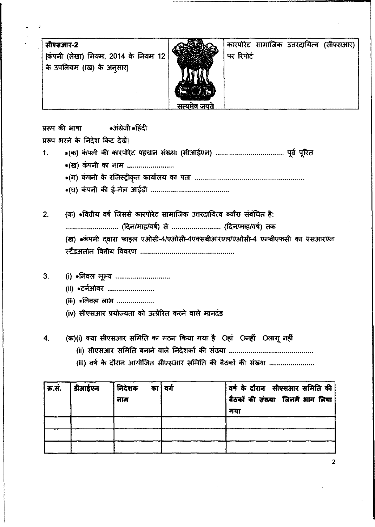| सीएसआर-2<br>[कंपनी (लेखा) नियम, 2014 के नियम 12  <br>के उपनियम (।ख) के अनुसार]<br>सत्यमेव जयते | पर रिपोर्ट |  |  | कारपोरेट सामाजिक उत्तरदायित्व (सीएसआर) |
|------------------------------------------------------------------------------------------------|------------|--|--|----------------------------------------|
|------------------------------------------------------------------------------------------------|------------|--|--|----------------------------------------|

~cti'r~ .~.~

प्ररूप भरने के निदेश किट देखें।

- 1. .(CIl) ~ cti'r CfiF(4nc: q~iUCFi ~ (~~ ~ ~ \*(ख) कंपनी का नाम ........................
	- (dT) ~ ~ '(W1~tC'1 Cfil;qh'l;q CfiT tfOT .
	- ('EI) ~ cti'r \$'-~ ~ .

2. (क) \* वितीय वर्ष जिससे कारपोरेट सामाजिक उत्तरदायित्व ब्यौरा संबंधित है: ...... (~~I<flt) ~ .. (~~/CfIt) (1cfi" (ख) \* कंपनी दवारा फाइल एओसी-4/एओसी-4एक्सबीआरएल/एओसी-4 एनबीएफसी का एसआरएन ~ ~ tilq,(OI .

- 3. (i) \*निवल मूल्य .............................
	- (ii) \*टर्नओवर .........................
	- (iii) \*निवल लाभ ..................
	- (iv) सीएसआर प्रयोज्यता को उत्प्रेरित करने वाले मानदंड

4. (क)(i) क्या सीएसआर समिति का गठन किया गया है Oहां Oनहीं Oलागू नहीं

(ii) ~ 'H~ffi ~ ~ ~yq;l cti'r ~ .

(iii) वर्ष के दौरान आयोजित सीएसआर समिति की बैठकों की संख्या ......................

| क्र.सं. | डीआईएन | निदेशक<br>का   वर्ग<br>नाम | वर्ष के दौरान  सीएसआर समिति की  <br>  बैठकों की संख्या जिनमें भाग लिया <sup>।</sup><br>गया |
|---------|--------|----------------------------|--------------------------------------------------------------------------------------------|
|         |        |                            |                                                                                            |
|         |        |                            |                                                                                            |
|         |        |                            |                                                                                            |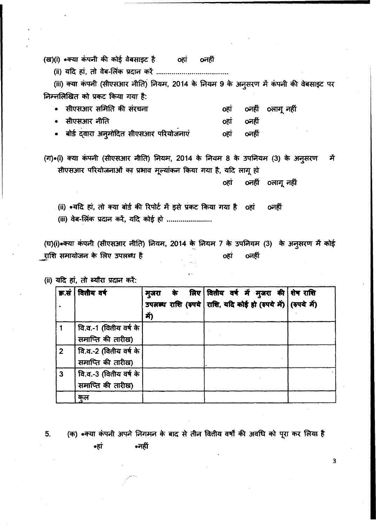(ख)(i) \*क्या कंपनी की कोई वेबसाइट है o oहां oनहीं

(ii) ~ ~, eft cr.r-~ ~ <fit .

(iii) क्या कंपनी (सीएसआर नीति) नियम, 2014 के नियम 9 के अनुसरण में कंपनी की वेबसाइट पर निम्नलिखित को प्रकट किया गया है:

| • सीएसआर समिति की संरचना                 |            | ०हां ०नहीं ०लागूनहीं |
|------------------------------------------|------------|----------------------|
| • सीएसआर नीति                            | ०हां ०नहीं |                      |
| • बोर्ड दवारा अनुमोदित सीएसआर परियोजनाएं | ०हां ०नहीं |                      |

(ग)\*(i) क्या कंपनी (सीएसआर नीति) नियम, 2014 के नियम 8 के उपनियम (3) के अनुसरण में सीएसआर परियोजनाओं का प्रभाव मूल्यांकन किया गया है, यदि लागू हो

oहां oनहीं oलागूनहीं

(ii) \*यदि हां, तो क्या बोर्ड की रिपोर्ट में इसे प्रकट किया गया है oहां oनहीं

(iii) वेब-लिंक प्रदान करें, यदि कोई हो .......................

(घ)(i)\*क्या कंपनी (सीएसआर नीति) नियम, 2014 के नियम 7 के उपनियम (3) के अनुसरण में कोई 'CIftt :aJiI41~CI1 \* ftit1:r ~ ~ o~ ~ \_"

(ii) यदि हां, तो ब्यौरा प्रदान करें:

| क्र.सं         | वितीय वर्ष                                  | मूजरा<br>Ă) |  | के लिए वित्तीय वर्ष में मुजरा की शेष राशि<br>उपलब्ध राशि (रुपये राशि, यदि कोई हो (रुपये में) (रुपये में) |  |
|----------------|---------------------------------------------|-------------|--|----------------------------------------------------------------------------------------------------------|--|
|                | वि.व.-1 (वितीय वर्ष के<br>समाप्ति की तारीख) |             |  |                                                                                                          |  |
| $\overline{2}$ | वि.व.-2 (वितीय वर्ष के<br>समाप्ति की तारीख) |             |  |                                                                                                          |  |
| 3              | वि.व.-3 (वितीय वर्ष के<br>समाप्ति की तारीख) |             |  |                                                                                                          |  |
|                | कल                                          |             |  |                                                                                                          |  |

5. (क) \*क्या कंपनी अपने निगमन के बाद से तीन वितीय वर्षों की अवधि को पूरा कर लिया है  $*$ हां  $*$ नहीं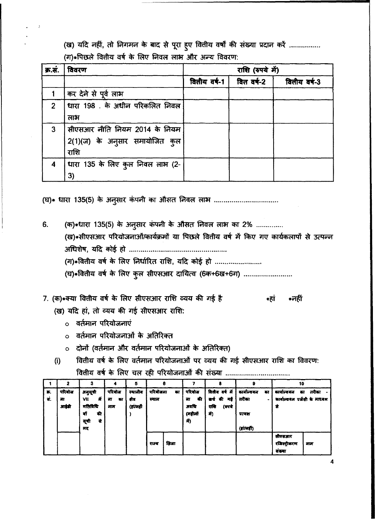(ख) यदि नहीं, तो निगमन के बाद से पूरा हुए वितीय वर्षों की संख्या प्रदान करें ................ (ग)\*पिछले वितीय वर्ष के लिए निवल लाभ और अन्य विवरण:

| क्र.सं.        | विवरण                            | राशि (रुपये में)     |            |              |  |  |  |  |
|----------------|----------------------------------|----------------------|------------|--------------|--|--|--|--|
|                |                                  | वितीय वर्ष-1 $\vert$ | वित वर्ष-2 | वितीय वर्ष-3 |  |  |  |  |
|                | कर देने से पूर्व लाभ             |                      |            |              |  |  |  |  |
| 2 <sup>7</sup> | धारा 198 . के अधीन परिकलित निवल  |                      |            |              |  |  |  |  |
|                | लाभ                              |                      |            |              |  |  |  |  |
| 3 <sup>1</sup> | सीएसआर नीति नियम 2014 के नियम    |                      |            |              |  |  |  |  |
|                | 2(1)(ज) के अनुसार समायोजित कुल   |                      |            |              |  |  |  |  |
|                | राशि                             |                      |            |              |  |  |  |  |
| $\overline{4}$ | धारा 135 के लिए कुल निवल लाभ (2- |                      |            |              |  |  |  |  |
|                | 3)                               |                      |            |              |  |  |  |  |

('El'). too 135(5) ~ ~ ~ CfiT ~ fi1crc;r (iJJ3'f ......•••...........•.......•....

6. (क) स्थारा 135(5) के अनुसार कंपनी के औसत निवल लाभ का 2% .............. (ख)\*सीएसआर परियोजनाओं/कार्यक्रमों या पिछले वितीय वर्ष में किए गए कार्यकलापों से उत्पन्न ~)1r, ~ ~ trr . (ग)\* वितीय वर्ष के लिए निर्धारित राशि, यदि कोई हो ......................... (घ)\*वितीय वर्ष के लिए कुल सीएसआर दायित्व (6क+6ख+6ग) .........................

7. (क)\*क्या वितीय वर्ष के लिए सीएसआर राशि व्यय की गई है (ख) यदि हां, तो व्यय की गई सीएसआर राशि:  $*$ हां  $*$ नहीं

- o वर्तमान परियोजनाएं
- o वर्तमान परियोजनाओं के अतिरिक्त
- o दोनों (वर्तमान और वर्तमान परियोजनाओं के अतिरिक्त)
- (i) वितीय वर्ष के लिए वर्तमान परियोजनाओं पर व्यय की गई सीएसआर राशि का विवरण: वितीय वर्ष के लिए चल रही परियोजनाओं की संख्या ...................................

|    | 2      | з           |         | 5         |          |        |          |                |                    | 10                           |       |
|----|--------|-------------|---------|-----------|----------|--------|----------|----------------|--------------------|------------------------------|-------|
| ₩. | গবিষাৰ | अनुसूची     | परियोज  | स्थानीय   | परियोजना | का     | परियोज   | वितीय वर्ष में | कार्याल्वयन<br>का  | कार्याल्ययन<br>का            | तरीका |
| ₩. | 罪      | -में<br>VII | 罪<br>का | शेत्र     | स्थान    |        | की<br>ना | बर्ग की<br>ाई  | तरीका<br>$\bullet$ | कार्याल्वयन एजेंसी के माध्यम |       |
|    | आईडी   | गतिविधि     | माम     | (हांग्लही |          |        | अवधि     | राशि<br>(रूपये |                    | से                           |       |
|    |        | याँ<br>की   |         |           |          |        | (महीर्मो | ۸ň             | प्रत्यक्ष          |                              |       |
|    |        | से<br>सूची  |         |           |          |        | 前        |                |                    |                              |       |
|    |        | मद          |         |           |          |        |          |                | $(i$ i/लहीं)       |                              |       |
|    |        |             |         |           |          |        |          |                |                    | सीएसआर                       |       |
|    |        |             |         |           | ৰাজৰ     | त्रिला |          |                |                    | रजिस्ट्रीकरण                 | लाम   |
|    |        |             |         |           |          |        |          |                |                    | संख्या                       |       |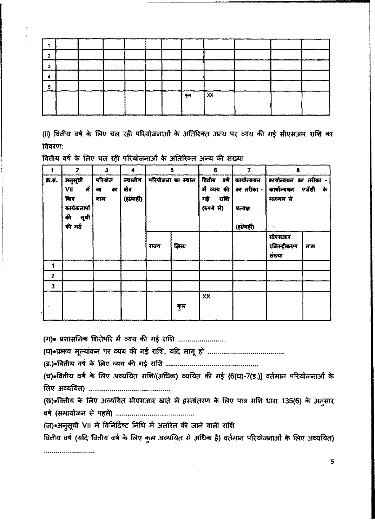|  |  |  | कुल | $\mathsf{I}$ XX |  |  |
|--|--|--|-----|-----------------|--|--|
|  |  |  |     |                 |  |  |
|  |  |  |     |                 |  |  |

(ii) वितीय वर्ष के लिए चल रही परियोजनाओं के अतिरिक्त अन्य पर व्यय की गई सीएसआर राशि का विवरण:

|                | $\mathbf{2}$                                                         | 3                         | 4                                | 5                 |       | 6                                                      | 7                                                                            | 8                                                  |                 |
|----------------|----------------------------------------------------------------------|---------------------------|----------------------------------|-------------------|-------|--------------------------------------------------------|------------------------------------------------------------------------------|----------------------------------------------------|-----------------|
| क्र.सं.        | अनुसूची<br>में<br>VII<br>किए<br>कार्यकलापां<br>की<br>सूची<br>की मदें | परियोज<br>का<br>ना<br>नाम | स्यानीय<br>क्षेत्र<br>(हां/नहीं) | परियोजना का स्थान |       | वितीय वर्ष<br>में व्यय की<br>राशि<br>गई<br>(रुपये में) | कार्यान्वयन<br>का तरीका -<br>प्रत्यक्ष<br>$(i$ <i>i</i> $\overrightarrow{m}$ | कार्यान्वयन का तरीका -<br>कार्याल्वयन<br>माध्यम से | एजेंसी<br>ों के |
|                |                                                                      |                           |                                  | राज्य             | ज़िला |                                                        |                                                                              | सीएसआर<br>रजिस्ट्रीकरण<br>संख्या                   | नाम             |
|                |                                                                      |                           |                                  |                   |       |                                                        |                                                                              |                                                    |                 |
| $\overline{2}$ |                                                                      |                           |                                  |                   |       |                                                        |                                                                              |                                                    |                 |
| 3              |                                                                      |                           |                                  |                   |       |                                                        |                                                                              |                                                    |                 |
|                |                                                                      |                           |                                  |                   | कुल   | XX                                                     |                                                                              |                                                    |                 |

वितीय वर्ष के लिए चल रही परियोजनाओं के अतिरिक्त अन्य की संख्या

(ग)\* प्रशासनिक शिरोपरि में व्यय की गई राशि ........................

(च)\*वितीय वर्ष के लिए अव्ययित राशि/(अधिक) व्ययित की गई {6(घ)-7(ड.)] वर्तमान परियोजनाओं के 

(छ)\*वितीय के लिए अव्ययित सीएसआर खाते में हस्तांतरण के लिए पात्र राशि धारा 135(6) के अनुसार 

(ज)\*अनुसूची VII में विनिर्दिष्ट निधि में अंतरित की जाने वाली राशि

वित्तीय वर्ष (यदि वित्तीय वर्ष के लिए कुल अव्ययित से अधिक है) वर्तमान परियोजनाओं के लिए अव्ययित)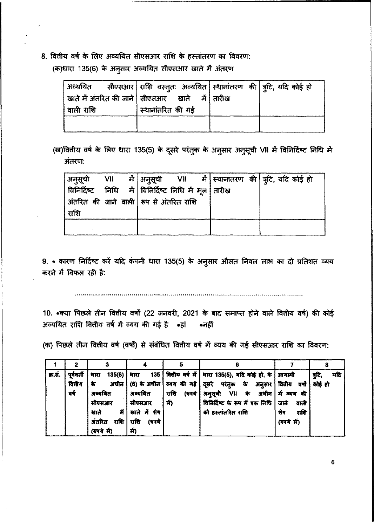8. वितीय वर्ष के लिए अव्ययित सीएसआर राशि के हस्तांतरण का विवरण: (क)धारा 135(6) के अनुसार अव्ययित सीएसआर खाते में अंतरण

|                        | अव्ययित सीएसआर राशि वस्तुत: अव्ययित स्थानांतरण की त्र्टि, यदि कोई हो |  |
|------------------------|----------------------------------------------------------------------|--|
|                        | खाते में अंतरित की जाने   सीएसआर     खाते     में   तारीख            |  |
| <sup>।</sup> वाली राशि | स्थानांतरित की गई                                                    |  |
|                        |                                                                      |  |

(ख)वितीय वर्ष के लिए धारा 135(5) के दूसरे परंतुक के अनुसार अनुसूची VII में विनिर्दिष्ट निधि में अंतरण:

|                                                                               |  |  |  | अन् <b>सूची VII में अन्</b> सूची VII में स्थानांतरण <sup>क्ष</sup> ी त्र्टि, यदि कोई हो |
|-------------------------------------------------------------------------------|--|--|--|-----------------------------------------------------------------------------------------|
| <sub>।</sub> विनिर्दिष्ट     निधि     मॅ   विनिर्दिष्ट  निधि  मॅ  मूल   तारीख |  |  |  |                                                                                         |
| अंतरित की जाने वाली   रूप से अंतरित राशि                                      |  |  |  |                                                                                         |
| राशि                                                                          |  |  |  |                                                                                         |
|                                                                               |  |  |  |                                                                                         |
|                                                                               |  |  |  |                                                                                         |

9. \* कारण निर्दिष्ट करें यदि कंपनी धारा 135(5) के अनुसार औसत निवल लाभ का दो प्रतिशत व्यय करने में विफल रही है:

10. \* क्या पिछले तीन वितीय वर्षों (22 जनवरी, 2021 के बाद समाप्त होने वाले वितीय वर्ष) की कोई 31व्ययित राशि वितीय वर्ष में व्यय की गई है \*हां \* नहीं

(क) पिछले तीन वितीय वर्ष (वर्षों) से संबंधित वितीय वर्ष में व्यय की गई सीएसआर राशि का विवरण:

| 茶.开. | पूर्ववर्ती | 135(6)<br>धारा | धारा             |                | 135 सितीय वर्ष में   धारा 135(5), यदि कोई हो, के   आगामी       |             | व्दरि,<br>यदि |
|------|------------|----------------|------------------|----------------|----------------------------------------------------------------|-------------|---------------|
|      | वित्तीय    | अधीन           |                  |                | (6) के अधीन   ठयय की गई   दूसरे परंतुक के अनुसार   दितीय वर्षो |             | कोई हो        |
|      | वर्ष       | अव्ययित        | अव्ययित          | राशि<br>(रुपये | अनुसूची VII के अधीन में व्यय की                                |             |               |
|      |            | सीएसआर         | सीएसआर           | -Ť)            | विनिर्दिष्ट के रूप में एक निधि   जाने                          | वाली        |               |
|      |            | खाते           | में बाते में शेष |                | को हस्तांतरित राशि                                             | राशि<br>शेष |               |
|      |            | अंतरित<br>राशि | राशि<br>(रुपये   |                |                                                                | (रुपये मं)  |               |
|      |            | (रुपये में)    | में)             |                |                                                                |             |               |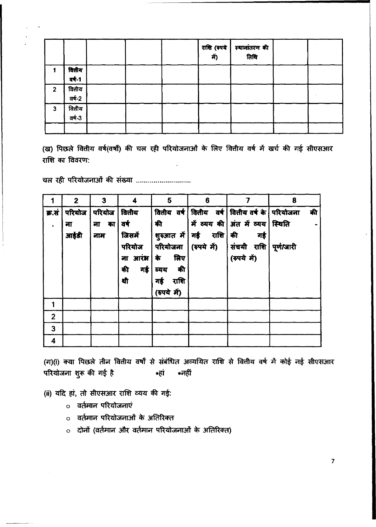|                |        |  |  | राशि (रुपये स्थानांतरण की<br>में) तिथि |  |
|----------------|--------|--|--|----------------------------------------|--|
|                | वितीय  |  |  |                                        |  |
|                | af-1   |  |  |                                        |  |
| $\overline{2}$ | वितीय  |  |  |                                        |  |
|                | वर्ष-2 |  |  |                                        |  |
| $\mathbf{3}$   | वितीय  |  |  |                                        |  |
|                | वर्ष-3 |  |  |                                        |  |
|                |        |  |  |                                        |  |

(ख) पिछले वितीय वर्ष(वर्षों) की चल रही परियोजनाओं के लिए वितीय वर्ष में खर्च की गई सीएसआर राशि का विवरण:

चल रही परियोजनाओं की संख्या .............................

|                | $\mathbf{2}$ | 3      | 4          | 5                 | 6          |                                   | 8          |
|----------------|--------------|--------|------------|-------------------|------------|-----------------------------------|------------|
| क्र.सं         | परियोज       | परियोज | वितीय      | वितीय वर्ष।       |            | वितीय वर्ष वितीय वर्ष के परियोजना | की         |
|                | ना           | ना का  | वर्ष       | की                |            | में व्यय की   अंत में व्यय        | स्थिति     |
|                | आईडी         | नाम    | जिसमें     | शुरुआत में        | गई राशि की | गई                                |            |
|                |              |        | परियोज     |                   |            | परियोजना (रुपये में)   संचयी राशि | पूर्ण/जारी |
|                |              |        | ना आरंभ कि | लिए               |            | (रुपये में)                       |            |
|                |              |        | की         | - की<br>गई   व्यय |            |                                   |            |
|                |              |        | थी         | राशि<br>गई        |            |                                   |            |
|                |              |        |            | (रुपये में)       |            |                                   |            |
| 1              |              |        |            |                   |            |                                   |            |
| $\overline{2}$ |              |        |            |                   |            |                                   |            |
| 3              |              |        |            |                   |            |                                   |            |
| 4              |              |        |            |                   |            |                                   |            |

(ग)(i) क्या पिछले तीन वितीय वर्षों से संबंधित अव्ययित राशि से वितीय वर्ष में कोई नई सीएसआर परियोजना शुरू की गई है ∗नहीं ∗हां

(ii) यदि हां, तो सीएसआर राशि व्यय की गई:

- o वर्तमान परियोजनाएं
- o वर्तमान परियोजनाओं के अतिरिक्त
- o दोनों (वर्तमान और वर्तमान परियोजनाओं के अतिरिक्त)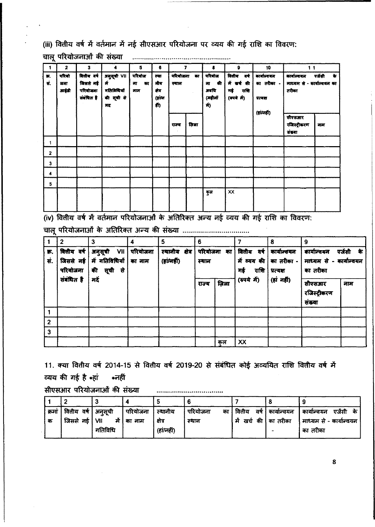(iii) वितीय वर्ष में वर्तमान में नई सीएसआर परियोजना पर व्यय की गई राशि का विवरण:

| 1               | 2                    | 3                                                | 4                                                    | 5                                           | 6                                   | 7     |                                | 8   | 9  | 10 | 11                               |     |  |  |                                          |  |  |  |  |  |  |  |  |  |                                                                                                     |                                                              |                                                     |                |
|-----------------|----------------------|--------------------------------------------------|------------------------------------------------------|---------------------------------------------|-------------------------------------|-------|--------------------------------|-----|----|----|----------------------------------|-----|--|--|------------------------------------------|--|--|--|--|--|--|--|--|--|-----------------------------------------------------------------------------------------------------|--------------------------------------------------------------|-----------------------------------------------------|----------------|
| 帯.<br><b>R.</b> | परियो<br>जना<br>आईडी | वितीय वर्ष<br>विससे नई<br>परियोजना<br>संबंधित है | अनुसूची VII<br>में<br>गतिविधियों<br>की सूची से<br>मद | परियोज<br>ना<br>$\overline{\bullet}$<br>माम | स्या<br>नीय<br>क्षेत्र<br>(i)<br>¢h |       | परियोजना का<br>स्थान<br>$\sim$ |     |    |    |                                  |     |  |  | यरिवास<br>ना की<br>अवयि<br>(महीलों<br>前) |  |  |  |  |  |  |  |  |  | वितीय वर्ष<br>में खर्च की<br>गई<br>राशि<br>$(\overline{v} \overline{v} \overline{a}, \overline{b})$ | कार्याज्ययत<br>का तरीका -<br>प्रत्यक्ष<br>$(i$ i $i$ a $(i)$ | कार्याल्य यन<br>माध्यम से - कार्यान्वयम का<br>तरीका | एजेंसी<br>ो के |
|                 |                      |                                                  |                                                      |                                             |                                     | राज्य | ज़िला                          |     |    |    | सीएसआर<br>रविस्ट्रीकरण<br>संस्था | नाम |  |  |                                          |  |  |  |  |  |  |  |  |  |                                                                                                     |                                                              |                                                     |                |
| 1               |                      |                                                  |                                                      |                                             |                                     |       |                                |     |    |    |                                  |     |  |  |                                          |  |  |  |  |  |  |  |  |  |                                                                                                     |                                                              |                                                     |                |
| $\mathbf{z}$    |                      |                                                  |                                                      |                                             |                                     |       |                                |     |    |    |                                  |     |  |  |                                          |  |  |  |  |  |  |  |  |  |                                                                                                     |                                                              |                                                     |                |
| 3               |                      |                                                  |                                                      |                                             |                                     |       |                                |     |    |    |                                  |     |  |  |                                          |  |  |  |  |  |  |  |  |  |                                                                                                     |                                                              |                                                     |                |
| 4               |                      |                                                  |                                                      |                                             |                                     |       |                                |     |    |    |                                  |     |  |  |                                          |  |  |  |  |  |  |  |  |  |                                                                                                     |                                                              |                                                     |                |
| 5               |                      |                                                  |                                                      |                                             |                                     |       |                                |     |    |    |                                  |     |  |  |                                          |  |  |  |  |  |  |  |  |  |                                                                                                     |                                                              |                                                     |                |
|                 |                      |                                                  |                                                      |                                             |                                     |       |                                | कुल | XX |    |                                  |     |  |  |                                          |  |  |  |  |  |  |  |  |  |                                                                                                     |                                                              |                                                     |                |

(iv) वितीय वर्ष में वर्तमान परियोजनाओं के अतिरिक्त अन्य नई व्यय की गई राशि का विवरण:

|           | 2                                  | 3                                                    | 4        | 5                              | 6                    |       |                          | 8                                                    | 9                                                  |           |
|-----------|------------------------------------|------------------------------------------------------|----------|--------------------------------|----------------------|-------|--------------------------|------------------------------------------------------|----------------------------------------------------|-----------|
| 蔪.<br>सं. | वितीय वर्ष<br>जिससे नई<br>परियोजना | अनुसूची VII  <br>में गतिविधियों का नाम<br>की सूची से | परियोजना | स्थानीय क्षेत्र<br>(हांग्नहीं) | परियोजना का<br>स्यान |       | वितीय वर्ष<br>राशि<br>गई | कार्याल्वयन<br>में व्यय की   का तरीका -<br>प्रत्यक्ष | कार्यान्वयन<br>माध्यम से - कार्यान्वयन<br>का तरीका | एजेंसी के |
|           | संबंधित है                         | ਸਟੇਂ                                                 |          |                                | राज्य                | ज़िला | (रुपये में)              | (हां नहीं)                                           | सीएसआर<br>रजिस्ट्रीकरण<br>संख्या                   | नाम       |
|           |                                    |                                                      |          |                                |                      |       |                          |                                                      |                                                    |           |
| 2         |                                    |                                                      |          |                                |                      |       |                          |                                                      |                                                    |           |
| 3         |                                    |                                                      |          |                                |                      |       |                          |                                                      |                                                    |           |
|           |                                    |                                                      |          |                                |                      | कल    | XX                       |                                                      |                                                    |           |

11. क्या वितीय वर्ष 2014-15 से वितीय वर्ष 2019-20 से संबंधित कोई अव्ययित राशि वितीय वर्ष में व्यय की गई है \*हां \*नहीं सीएसआर परियोजनाओं की संख्या

.....................................

| क्रमां | वितीय वर्ष   अनुसूची |         | परियोजना     | स्यानीय | परियोजना<br>का | ' वितीय                 | वर्ष   कार्यान्वयन | एजेंसी के <br>। कार्याल्वयन |
|--------|----------------------|---------|--------------|---------|----------------|-------------------------|--------------------|-----------------------------|
| क      | जिससे नई   VII       |         | में । का नाम | क्षेत्र | स्थान          | । मै खर्च की । का तरीका |                    | माध्यम से - कार्यान्वयन     |
|        |                      | गतिविधि |              | (right) |                |                         |                    | का तरीका                    |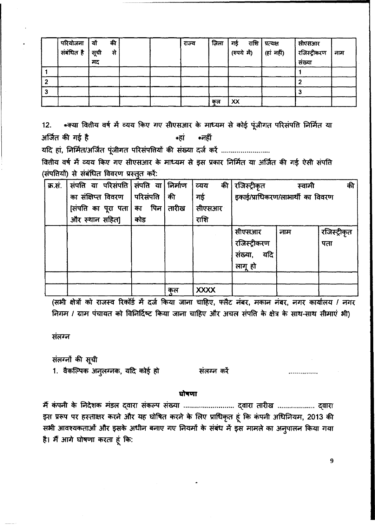| परियोजना               | यों | की |  | राज्य | जिला | गई<br>राशि | प्रत्यक्ष  | सीएसआर       |     |
|------------------------|-----|----|--|-------|------|------------|------------|--------------|-----|
| ्<br>संबंधित है   सूची |     | से |  |       |      | (रुपये मं) | (हां नहीं) | रजिस्ट्रीकरण | नाम |
|                        | मट  |    |  |       |      |            |            | संख्या       |     |
|                        |     |    |  |       |      |            |            |              |     |
|                        |     |    |  |       |      |            |            |              |     |
|                        |     |    |  |       |      |            |            |              |     |
|                        |     |    |  |       | कल   | XX         |            |              |     |

12. \* क्या वितीय वर्ष में व्यय किए गए सीएसआर के माध्यम से कोई पूंजीगत परिसंपत्ति निर्मित या अर्जित की गई है <u>कि उत्तर करने क</u>र्मी कार्य करने करने के अन्य

~ err, ~f1i(11~ "i~1dl(1 qfhiqRi41 ~ ~ ~ cR .

वितीय वर्ष में व्यय किए गए सीएसआर के माध्यम से इस प्रकार निर्मित या अर्जित की गई ऐसी संपत्ति (संपतियों) से संबंधित विवरण प्रस्तुत करें:

| क्र.सं. | संपति या परिसंपति संपति या निर्माण |     |       | व्यय        | की | रजिस्ट्रीकृत                     | स्वामी | की           |
|---------|------------------------------------|-----|-------|-------------|----|----------------------------------|--------|--------------|
|         | का संक्षिप्त विवरण  परिसंपति       |     | की    | गई          |    | इकाई/प्राधिकरण/लाभार्थी का विवरण |        |              |
|         | [संपत्ति का पूरा पता   का पिन      |     | तारीख | सीएसआर      |    |                                  |        |              |
|         | और स्थान सहित]                     | कोड |       | राशि        |    |                                  |        |              |
|         |                                    |     |       |             |    | सीएसआर                           | नाम    | रजिस्ट्रीकृत |
|         |                                    |     |       |             |    | रजिस्ट्रीकरण                     |        | पता          |
|         |                                    |     |       |             |    | यदि<br>संख्या,                   |        |              |
|         |                                    |     |       |             |    | लागू हो                          |        |              |
|         |                                    |     |       |             |    |                                  |        |              |
|         |                                    |     | कल    | <b>XXXX</b> |    |                                  |        |              |

(सभी क्षेत्रों को राजस्व रिकॉर्ड में दर्ज किया जाना चाहिए, फ्लैट नंबर, मकान नंबर, नगर कार्यालय / नगर *निगम / ग्राम* पंचायत को विनिर्दिष्ट किया जाना चाहिए और अचल संपति के क्षेत्र के साथ-साथ सीमाएं भी)

संतरन

संलग्नों की सूची

1. वैकल्पिक अनुलग्नक, यदि कोई हो

संलग्न करें

#### घोषणा

मैं कंपनी के निदेशक मंडल द्वारा संकल्प संख्या ......................... द्वारा तारीख ................... द्वारा इस प्ररूप पर हस्ताक्षर करने और यह घोषित करने के लिए प्राधिकृत हूं कि कंपनी अधिनियम, 2013 की सभी आवश्यकताओं और इसके अधीन बनाए गए नियमों के संबंध में इस मामले का अनुपालन किया गया है। मैं आगे घोषणा करता हूं कि: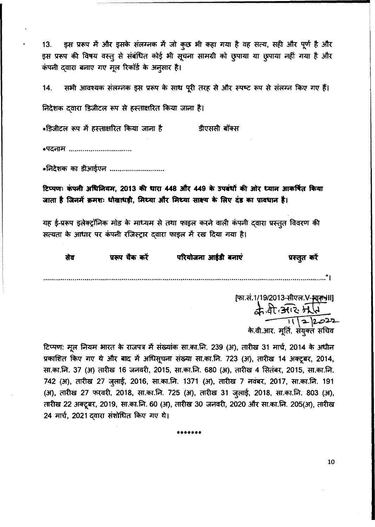13. इस प्ररूप में और इसके संलग्नक में जो कुछ भी कहा गया है वह सत्य, सही और पूर्ण है और इस प्ररूप की विषय वस्तू से संबंधित कोई भी सूचना सामग्री को छुपाया या छुपाया नहीं गया है और कंपनी दवारा बनाए गए मूल रिकॉर्ड के अनुसार है।

सभी आवश्यक संलग्ननक इस प्ररूप के साथ पूरी तरह से और स्पष्ट रूप से संलग्न किए गए हैं। 14.

निदेशक दवारा डिजीटल रूप से हस्ताक्षरित किया जाना है।

\*डिजीटल रूप में हस्ताक्षरित किया जाना है डीएससी बॉक्स

\*पदनाम .................................

\*निदेशक का डीआईएन ............................

टिप्पणः कंपनी अधिनियम, 2013 की धारा 448 और 449 के उपबंधों की ओर ध्यान आकर्षित किया जाता है जिनमें क्रमशः धोखाधड़ी, मिथ्या और मिथ्या साक्ष्य के लिए दंड का प्रावधान है।

यह ई-प्ररूप इलेक्ट्रॉनिक मोड के माध्यम से तथा फाइल करने वाली कंपनी दवारा प्रस्तुत विवरण की सत्यता के आधार पर कंपनी रजिस्ट्रार दवारा फाइल में रख दिया गया है।

| सेव | प्ररूप चैक करें | परियोजना आईडी बनाएं | प्रस्तुत करें |
|-----|-----------------|---------------------|---------------|
|     |                 |                     |               |

[फा.सं.1/19/2013-सीएल.V-भारत)  $2.4.4.392511$  $-$  11 | 2 | 2022 के.वी.आर. *मू*ति, संयुक्त सन्

टिप्पण: मूल नियम भारत के राजपत्र में संख्यांक सा.का.नि. 239 (अ), तारीख 31 मार्च, 2014 के अधीन प्रकाशित किए गए थे और बाद में अधिसूचना संख्या सा.का.नि. 723 (अ), तारीख 14 अक्टूबर, 2014, सा.का.नि. 37 (अ) तारीख 16 जनवरी, 2015, सा.का.नि. 680 (अ), तारीख 4 सितंबर, 2015, सा.का.नि. 742 (अ), तारीख 27 जुलाई, 2016, सा.का.नि. 1371 (अ), तारीख 7 नवंबर, 2017, सा.का.नि. 191 (अ), तारीख 27 फरवरी, 2018, सा.का.नि. 725 (अ), तारीख 31 जुलाई, 2018, सा.का.नि. 803 (अ), तारीख 22 अक्टूबर, 2019, सा.का.नि. 60 (अ), तारीख 30 जनवरी, 2020 और सा.का.नि. 205(अ), तारीख 24 मार्च, 2021 दवारा संशोधित किए गए थे।

•••••••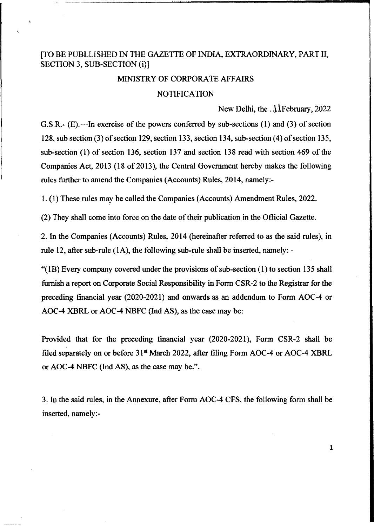## [TO BE PUBLLISHED IN THE GAZETTE OF INDIA, EXTRAORDINARY, PART II, SECTION 3, SUB-SECTION (i)]

#### MINISTRY OF CORPORATE AFFAIRS

### **NOTIFICATION**

New Delhi, the  $\Lambda$  February, 2022

1

G.S.R.- (E).—In exercise of the powers conferred by sub-sections (1) and (3) of section 128, sub section (3) of section 129, section 133, section 134, sub-section (4) of section 135, sub-section (1) of section 136, section 137 and section 138 read with section 469 of the Companies Act, 2013 (18 of 2013), the Central Government hereby makes the following rules further to amend the Companies (Accounts) Rules, 2014, namely:-

1. (1) These rules may be called the Companies (Accounts) Amendment Rules, 2022.

(2) They shall come into force on the date of their publication in the Official Gazette.

2. In the Companies (Accounts) Rules, 2014 (hereinafter referred to as the said rules), in rule 12, after sub-rule (IA), the following sub-rule shall be inserted, namely: -

"(IB) Every company covered under the provisions of sub-section (1) to section 135 shall furnish a report on Corporate Social Responsibility in Form CSR-2 to the Registrar for the preceding financial year (2020-2021) and onwards as an addendum to Form AOC-4 or AOC-4 XBRL or AOC-4 NBFC (Ind AS), as the case may be:

Provided that for the preceding financial year (2020-2021), Form CSR-2 shall be filed separately on or before  $31<sup>st</sup>$  March 2022, after filing Form AOC-4 or AOC-4 XBRL or AOC-4 NBFC (Ind AS), as the case may be.".

3. In the said rules, in the Annexure, after Form AOC-4 CFS, the following form shall be inserted, namely:-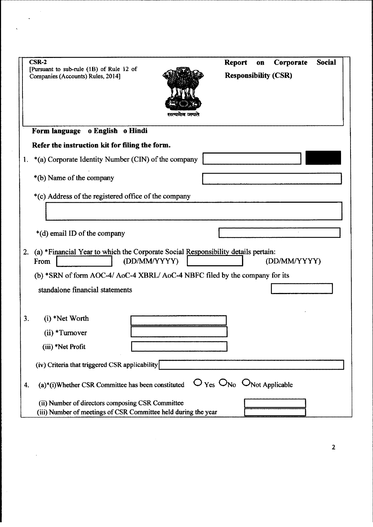| $CSR-2$<br>[Pursuant to sub-rule (1B) of Rule 12 of<br>Companies (Accounts) Rules, 2014]                           | <b>Social</b><br><b>Report</b><br>Corporate<br>0 <sub>II</sub><br><b>Responsibility (CSR)</b> |
|--------------------------------------------------------------------------------------------------------------------|-----------------------------------------------------------------------------------------------|
| o English o Hindi<br>Form language                                                                                 |                                                                                               |
| Refer the instruction kit for filing the form.                                                                     |                                                                                               |
| *(a) Corporate Identity Number (CIN) of the company<br>1.                                                          |                                                                                               |
| *(b) Name of the company                                                                                           |                                                                                               |
| *(c) Address of the registered office of the company                                                               |                                                                                               |
|                                                                                                                    |                                                                                               |
| *(d) email ID of the company                                                                                       |                                                                                               |
| (a) *Financial Year to which the Corporate Social Responsibility details pertain:<br>2.<br>(DD/MM/YYYY)<br>From    | (DD/MM/YYYY)                                                                                  |
| (b) *SRN of form AOC-4/ AoC-4 XBRL/ AoC-4 NBFC filed by the company for its                                        |                                                                                               |
| standalone financial statements                                                                                    |                                                                                               |
| 3.<br>$(i)$ *Net Worth<br>(ii) *Turnover                                                                           |                                                                                               |
| (iii) *Net Profit                                                                                                  |                                                                                               |
| (iv) Criteria that triggered CSR applicability                                                                     |                                                                                               |
| (a)*(i)Whether CSR Committee has been constituted<br>4.                                                            | $O_{\text{Yes}}$ $O_{\text{No}}$ $O_{\text{Not Applicable}}$                                  |
| (ii) Number of directors composing CSR Committee<br>(iii) Number of meetings of CSR Committee held during the year |                                                                                               |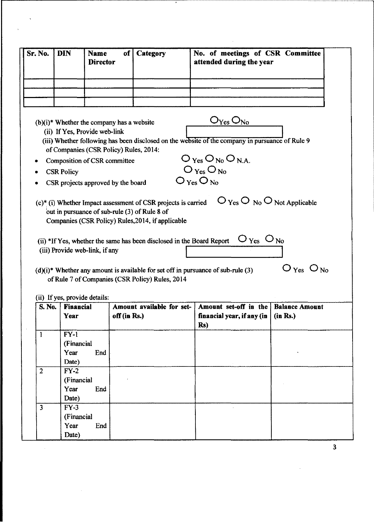|                         | <b>DIN</b>                                                                                                                                                                                                                    | <b>Name</b><br><b>Director</b> | of           | Category                                                                                                                                                                          | No. of meetings of CSR Committee<br>attended during the year                                                                                                                                                                                                     |                                                |
|-------------------------|-------------------------------------------------------------------------------------------------------------------------------------------------------------------------------------------------------------------------------|--------------------------------|--------------|-----------------------------------------------------------------------------------------------------------------------------------------------------------------------------------|------------------------------------------------------------------------------------------------------------------------------------------------------------------------------------------------------------------------------------------------------------------|------------------------------------------------|
|                         |                                                                                                                                                                                                                               |                                |              |                                                                                                                                                                                   |                                                                                                                                                                                                                                                                  |                                                |
|                         |                                                                                                                                                                                                                               |                                |              |                                                                                                                                                                                   |                                                                                                                                                                                                                                                                  |                                                |
|                         |                                                                                                                                                                                                                               |                                |              |                                                                                                                                                                                   |                                                                                                                                                                                                                                                                  |                                                |
| ٠                       | $(b)(i)$ <sup>*</sup> Whether the company has a website<br>(ii) If Yes, Provide web-link<br>of Companies (CSR Policy) Rules, 2014:<br>Composition of CSR committee<br><b>CSR Policy</b><br>CSR projects approved by the board |                                |              | $(c)$ <sup>*</sup> (i) Whether Impact assessment of CSR projects is carried<br>out in pursuance of sub-rule (3) of Rule 8 of<br>Companies (CSR Policy) Rules, 2014, if applicable | $O_{Yes}O_{No}$<br>(iii) Whether following has been disclosed on the website of the company in pursuance of Rule 9<br>$O_{\text{Yes}}O_{\text{No}}O_{\text{NA}}$<br>$O_{Yes}O_{No}$<br>$O_{Yes}O_{No}$<br>$\bigcirc$ Yes $\bigcirc$ No $\bigcirc$ Not Applicable |                                                |
|                         | (iii) Provide web-link, if any                                                                                                                                                                                                |                                |              | (ii) *If Yes, whether the same has been disclosed in the Board Report                                                                                                             | $\rm O\,_{Yes}$ $\rm O\,_{No}$<br>$(d)(i)$ <sup>*</sup> Whether any amount is available for set off in pursuance of sub-rule (3)                                                                                                                                 | $\bigcirc$ $_{\rm Yes}$ $\bigcirc$ $_{\rm No}$ |
|                         |                                                                                                                                                                                                                               |                                |              | of Rule 7 of Companies (CSR Policy) Rules, 2014                                                                                                                                   |                                                                                                                                                                                                                                                                  |                                                |
| <b>S. No.</b>           | (ii) If yes, provide details:<br><b>Financial</b><br>Year                                                                                                                                                                     |                                | off (in Rs.) | Amount available for set-                                                                                                                                                         | Amount set-off in the<br>financial year, if any (in                                                                                                                                                                                                              | <b>Balance Amount</b><br>(in Rs.)              |
| 1                       | $FY-1$                                                                                                                                                                                                                        |                                |              |                                                                                                                                                                                   | Rs)                                                                                                                                                                                                                                                              |                                                |
|                         | (Financial                                                                                                                                                                                                                    |                                |              |                                                                                                                                                                                   |                                                                                                                                                                                                                                                                  |                                                |
|                         | Year                                                                                                                                                                                                                          | End                            |              |                                                                                                                                                                                   |                                                                                                                                                                                                                                                                  |                                                |
|                         | Date)                                                                                                                                                                                                                         |                                |              |                                                                                                                                                                                   |                                                                                                                                                                                                                                                                  |                                                |
| $\overline{2}$          | $FY-2$                                                                                                                                                                                                                        |                                |              |                                                                                                                                                                                   |                                                                                                                                                                                                                                                                  |                                                |
|                         |                                                                                                                                                                                                                               |                                |              |                                                                                                                                                                                   |                                                                                                                                                                                                                                                                  |                                                |
|                         | (Financial                                                                                                                                                                                                                    |                                |              |                                                                                                                                                                                   |                                                                                                                                                                                                                                                                  |                                                |
|                         | Year                                                                                                                                                                                                                          | End                            |              |                                                                                                                                                                                   |                                                                                                                                                                                                                                                                  |                                                |
|                         | Date)                                                                                                                                                                                                                         |                                |              |                                                                                                                                                                                   |                                                                                                                                                                                                                                                                  |                                                |
| $\overline{\mathbf{3}}$ | $FY-3$                                                                                                                                                                                                                        |                                |              |                                                                                                                                                                                   |                                                                                                                                                                                                                                                                  |                                                |
|                         | (Financial                                                                                                                                                                                                                    |                                |              |                                                                                                                                                                                   |                                                                                                                                                                                                                                                                  |                                                |
|                         | Year<br>Date)                                                                                                                                                                                                                 | End                            |              |                                                                                                                                                                                   |                                                                                                                                                                                                                                                                  |                                                |

 $\bar{\lambda}$ 

 $\hat{\mathcal{A}}$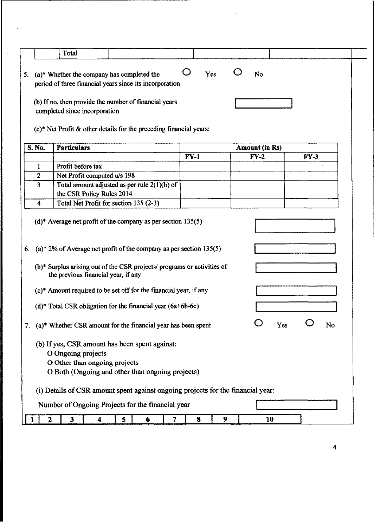|    |                | Total                                                                                                                                                                                   |   |        |        |     |   |                                 |     |        |    |
|----|----------------|-----------------------------------------------------------------------------------------------------------------------------------------------------------------------------------------|---|--------|--------|-----|---|---------------------------------|-----|--------|----|
| 5. |                | (a)* Whether the company has completed the<br>period of three financial years since its incorporation                                                                                   |   |        |        | Yes |   | N <sub>o</sub>                  |     |        |    |
|    |                | (b) If no, then provide the number of financial years<br>completed since incorporation<br>$(c)$ * Net Profit & other details for the preceding financial years:                         |   |        |        |     |   |                                 |     |        |    |
|    | S. No.         | <b>Particulars</b>                                                                                                                                                                      |   |        |        |     |   |                                 |     |        |    |
|    |                |                                                                                                                                                                                         |   |        | $FY-1$ |     |   | <b>Amount (in Rs)</b><br>$FY-2$ |     | $FY-3$ |    |
|    | 1              | Profit before tax                                                                                                                                                                       |   |        |        |     |   |                                 |     |        |    |
|    | $\overline{2}$ | Net Profit computed u/s 198                                                                                                                                                             |   |        |        |     |   |                                 |     |        |    |
|    | 3              | Total amount adjusted as per rule 2(1)(h) of                                                                                                                                            |   |        |        |     |   |                                 |     |        |    |
|    |                | the CSR Policy Rules 2014                                                                                                                                                               |   |        |        |     |   |                                 |     |        |    |
|    | 4              | Total Net Profit for section 135 (2-3)                                                                                                                                                  |   |        |        |     |   |                                 |     |        |    |
| 6. |                | $(a)^*$ 2% of Average net profit of the company as per section 135(5)<br>(b)* Surplus arising out of the CSR projects/ programs or activities of<br>the previous financial year, if any |   |        |        |     |   |                                 |     |        |    |
|    |                | (c)* Amount required to be set off for the financial year, if any                                                                                                                       |   |        |        |     |   |                                 |     |        |    |
|    |                | $(d)^*$ Total CSR obligation for the financial year $(6a+6b-6c)$                                                                                                                        |   |        |        |     |   |                                 |     |        |    |
|    |                | 7. (a)* Whether CSR amount for the financial year has been spent                                                                                                                        |   |        |        |     |   |                                 | Yes |        | No |
|    |                | (b) If yes, CSR amount has been spent against:<br>O Ongoing projects<br>O Other than ongoing projects<br>O Both (Ongoing and other than ongoing projects)                               |   |        |        |     |   |                                 |     |        |    |
|    |                | (i) Details of CSR amount spent against ongoing projects for the financial year:                                                                                                        |   |        |        |     |   |                                 |     |        |    |
|    |                | Number of Ongoing Projects for the financial year                                                                                                                                       |   |        |        |     |   |                                 |     |        |    |
|    | 2              | $\mathbf{3}$<br>4                                                                                                                                                                       | 5 | 6<br>7 |        | 8   | 9 | 10                              |     |        |    |

 $\label{eq:2.1} \frac{1}{\sqrt{2}}\int_{\mathbb{R}^3}\frac{1}{\sqrt{2}}\left(\frac{1}{\sqrt{2}}\right)^2\frac{1}{\sqrt{2}}\left(\frac{1}{\sqrt{2}}\right)^2\frac{1}{\sqrt{2}}\left(\frac{1}{\sqrt{2}}\right)^2\frac{1}{\sqrt{2}}\left(\frac{1}{\sqrt{2}}\right)^2.$ 

 $\label{eq:2.1} \begin{split} \frac{1}{\sqrt{2\pi}}\left(\frac{1}{\sqrt{2\pi}}\right) & = \frac{1}{2\sqrt{2\pi}}\left(\frac{1}{\sqrt{2\pi}}\right) \frac{1}{\sqrt{2\pi}} \end{split}$ 

 $\overline{\phantom{a}}$ 

 $\label{eq:2.1} \frac{1}{\sqrt{2\pi}}\int_{0}^{\infty}\frac{1}{\sqrt{2\pi}}\left(\frac{1}{\sqrt{2\pi}}\right)^{2}d\mu$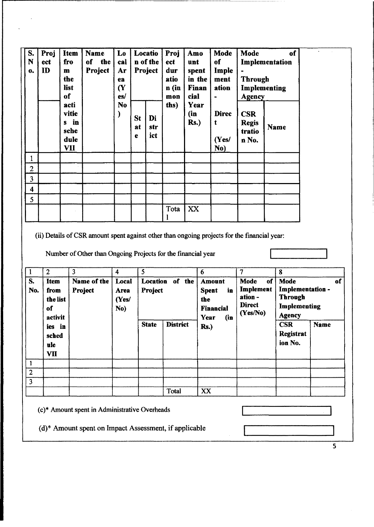| S.<br>N<br>$\mathbf{0}$ | Proj<br>ect<br>ID | <b>Item</b><br>fro<br>$\mathbf{m}$<br>the<br>list<br>of | <b>Name</b><br>of the<br><b>Project</b> | $\mathbf{L}\mathbf{0}$<br>cal<br>Ar<br>ea<br>$\alpha$<br>es/ | Locatio<br>Proj<br>Amo<br>n of the<br>ect<br>unt<br>Project<br>dur<br>atio<br>n (in<br>cial<br>mon |                  | spent<br>in the<br>Finan | Mode<br>of<br>Imple<br>ment<br>ation<br>$\ddot{}$ | <b>Mode</b><br>Implementation<br><b>Through</b><br>Implementing<br><b>Agency</b> |                                               |      |  |
|-------------------------|-------------------|---------------------------------------------------------|-----------------------------------------|--------------------------------------------------------------|----------------------------------------------------------------------------------------------------|------------------|--------------------------|---------------------------------------------------|----------------------------------------------------------------------------------|-----------------------------------------------|------|--|
|                         |                   | acti<br>vitie<br>s in<br>sche<br>dule<br>VII            |                                         | N <sub>o</sub>                                               | St<br>at<br>е                                                                                      | Di<br>str<br>ict | ths)                     | Year<br>(in)<br><b>Rs.</b> )                      | <b>Direc</b><br>t<br>(Yes/<br>No)                                                | <b>CSR</b><br><b>Regis</b><br>tratio<br>n No. | Name |  |
| $\mathbf{1}$            |                   |                                                         |                                         |                                                              |                                                                                                    |                  |                          |                                                   |                                                                                  |                                               |      |  |
| $\overline{c}$          |                   |                                                         |                                         |                                                              |                                                                                                    |                  |                          |                                                   |                                                                                  |                                               |      |  |
| 3                       |                   |                                                         |                                         |                                                              |                                                                                                    |                  |                          |                                                   |                                                                                  |                                               |      |  |
| 4                       |                   |                                                         |                                         |                                                              |                                                                                                    |                  |                          |                                                   |                                                                                  |                                               |      |  |
| 5                       |                   |                                                         |                                         |                                                              |                                                                                                    |                  |                          |                                                   |                                                                                  |                                               |      |  |
|                         |                   |                                                         |                                         |                                                              |                                                                                                    |                  | Tota                     | XX                                                |                                                                                  |                                               |      |  |

(ii) Details of CSR amount spent against other than ongoing projects for the financial year:

Number of Other than Ongoing Projects for the financial year

| $\mathbf{1}$   | $\overline{2}$                            | 3                      | 4                             | 5                          |                 | 6                                                                             | 7                                                               | 8                                                                                 |             |  |
|----------------|-------------------------------------------|------------------------|-------------------------------|----------------------------|-----------------|-------------------------------------------------------------------------------|-----------------------------------------------------------------|-----------------------------------------------------------------------------------|-------------|--|
| S.<br>No.      | Item<br>from<br>the list<br>of<br>activit | Name of the<br>Project | Local<br>Area<br>(Yes/<br>No) | Location of the<br>Project |                 | <b>Amount</b><br>in<br><b>Spent</b><br>the<br><b>Financial</b><br>Year<br>(in | of<br>Mode<br>Implement<br>ation -<br><b>Direct</b><br>(Yes/No) | Mode<br>of<br>Implementation -<br><b>Through</b><br>Implementing<br><b>Agency</b> |             |  |
|                | ies in<br>sched<br>ulc<br><b>VII</b>      |                        |                               | <b>State</b>               | <b>District</b> | $Rs.$ )                                                                       |                                                                 | <b>CSR</b><br><b>Registrat</b><br>ion No.                                         | <b>Name</b> |  |
|                |                                           |                        |                               |                            |                 |                                                                               |                                                                 |                                                                                   |             |  |
| $\overline{2}$ |                                           |                        |                               |                            |                 |                                                                               |                                                                 |                                                                                   |             |  |
| 3              |                                           |                        |                               |                            |                 |                                                                               |                                                                 |                                                                                   |             |  |
|                |                                           |                        |                               |                            | Total           | XX                                                                            |                                                                 |                                                                                   |             |  |

(c)\* Amount spent in Administrative Overheads

(d)\* Amount spent on Impact Assessment, if applicable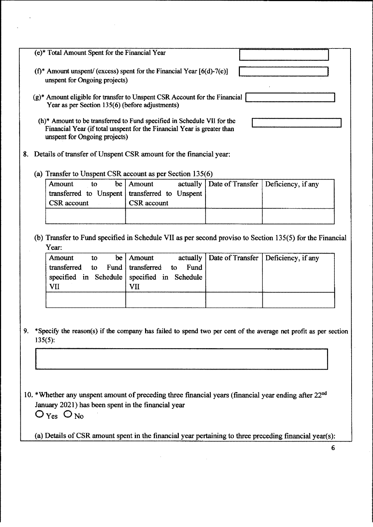|    | (e)* Total Amount Spent for the Financial Year                                                                                                                                                                                                                                                                                                            |  |  |  |  |  |  |  |  |  |
|----|-----------------------------------------------------------------------------------------------------------------------------------------------------------------------------------------------------------------------------------------------------------------------------------------------------------------------------------------------------------|--|--|--|--|--|--|--|--|--|
|    | $(f^*$ Amount unspent/ (excess) spent for the Financial Year [6(d)-7(e)]<br>unspent for Ongoing projects)                                                                                                                                                                                                                                                 |  |  |  |  |  |  |  |  |  |
|    | $(g)^*$ Amount eligible for transfer to Unspent CSR Account for the Financial<br>Year as per Section 135(6) (before adjustments)                                                                                                                                                                                                                          |  |  |  |  |  |  |  |  |  |
|    | (h)* Amount to be transferred to Fund specified in Schedule VII for the<br>Financial Year (if total unspent for the Financial Year is greater than<br>unspent for Ongoing projects)                                                                                                                                                                       |  |  |  |  |  |  |  |  |  |
|    | 8. Details of transfer of Unspent CSR amount for the financial year:                                                                                                                                                                                                                                                                                      |  |  |  |  |  |  |  |  |  |
|    | (a) Transfer to Unspent CSR account as per Section 135(6)                                                                                                                                                                                                                                                                                                 |  |  |  |  |  |  |  |  |  |
|    | actually   Date of Transfer<br>Deficiency, if any<br>be<br>Amount<br>Amount<br>to<br>transferred to Unspent<br>transferred to Unspent<br><b>CSR</b> account<br><b>CSR</b> account                                                                                                                                                                         |  |  |  |  |  |  |  |  |  |
|    |                                                                                                                                                                                                                                                                                                                                                           |  |  |  |  |  |  |  |  |  |
|    | (b) Transfer to Fund specified in Schedule VII as per second proviso to Section 135(5) for the Financial<br>Year:<br>Date of Transfer<br>be<br>actually<br>Deficiency, if any<br>Amount<br>Amount<br>to<br>transferred<br>transferred<br>Fund<br>Fund<br>to<br>$\mathbf{t}$<br>specified in Schedule<br>specified in Schedule<br><b>VII</b><br><b>VII</b> |  |  |  |  |  |  |  |  |  |
| 9. | *Specify the reason(s) if the company has failed to spend two per cent of the average net profit as per section<br>135(5):                                                                                                                                                                                                                                |  |  |  |  |  |  |  |  |  |
|    | 10. *Whether any unspent amount of preceding three financial years (financial year ending after 22 <sup>nd</sup><br>January 2021) has been spent in the financial year<br>$O_{Yes}$ $O_{No}$                                                                                                                                                              |  |  |  |  |  |  |  |  |  |
|    | (a) Details of CSR amount spent in the financial year pertaining to three preceding financial year(s):                                                                                                                                                                                                                                                    |  |  |  |  |  |  |  |  |  |
|    | 6                                                                                                                                                                                                                                                                                                                                                         |  |  |  |  |  |  |  |  |  |

 $\hat{\boldsymbol{\beta}}$ 

 $\frac{1}{2} \left( \frac{1}{2} \right)$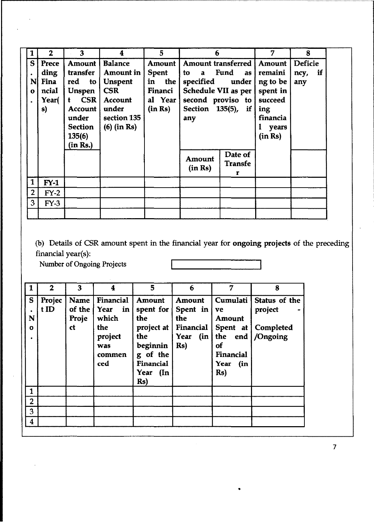| 1              | $\overline{2}$ | 3                    | 4              | 5            | 6                           |                | 7        | 8              |
|----------------|----------------|----------------------|----------------|--------------|-----------------------------|----------------|----------|----------------|
| $\mathsf{S}$   | Prece          | Amount               | <b>Balance</b> | Amount       | Amount transferred   Amount |                |          | <b>Deficie</b> |
|                | ding           | <b>transfer</b>      | Amount in      | <b>Spent</b> | to<br>a                     | Fund<br>as     | remaini  | if<br>ncy,     |
| NI             | Fina           | red<br>$\mathbf{to}$ | <b>Unspent</b> | in<br>the    | specified                   | under          | ng to be | any            |
| $\mathbf o$    | ncial          | <b>Unspen</b>        | <b>CSR</b>     | Financi      | Schedule VII as per         |                | spent in |                |
|                | Year(          | CSR<br>ŧ.            | Account        | al Year      | second proviso to           |                | succeed  |                |
|                | s)             | Account              | under          | (in Rs)      | Section 135(5), if          |                | ing      |                |
|                |                | under                | section 135    |              | any                         |                | financia |                |
|                |                | Section              | $(6)$ (in Rs)  |              |                             |                | years    |                |
|                |                | 135(6)               |                |              |                             |                | (in Rs)  |                |
|                |                | (in Rs.)             |                |              |                             |                |          |                |
|                |                |                      |                |              | Amount                      | Date of        |          |                |
|                |                |                      |                |              | (in Rs)                     | <b>Transfe</b> |          |                |
| 1              |                |                      |                |              |                             | г              |          |                |
|                | $FY-1$         |                      |                |              |                             |                |          |                |
| $\overline{2}$ | $FY-2$         |                      |                |              |                             |                |          |                |
| $\overline{3}$ | $FY-3$         |                      |                |              |                             |                |          |                |
|                |                |                      |                |              |                             |                |          |                |

(b) Details of CSR amount spent in the financial year for ongoing projects of the preceding financial year(s):

•

Number of Ongoing Projects

|                        | $\overline{2}$ | 3                             | 4                                                                                        | 5                                                                                                                                       | 6                                                                                 | 7                                                                                                           | 8                                                       |
|------------------------|----------------|-------------------------------|------------------------------------------------------------------------------------------|-----------------------------------------------------------------------------------------------------------------------------------------|-----------------------------------------------------------------------------------|-------------------------------------------------------------------------------------------------------------|---------------------------------------------------------|
| S<br>N<br>$\mathbf{o}$ | Projec<br>tID  | Name<br>of the<br>Proje<br>ct | Financial<br>Year<br>$\mid$ in $\mid$<br>which<br>the<br>project<br>was<br>commen<br>ced | <b>Amount</b><br>spent for $ $<br><b>the</b><br>project at $ $<br>the<br>beginnin<br>g of the<br>Financial<br>Year (In<br>$\mathbf{Rs}$ | <b>Amount</b><br>Spent in<br>the<br>Financial<br>Year<br>$\int$ (in $\int$<br>Rs) | Cumulati  <br>ve<br><b>Amount</b><br>Spent at $ $<br>the<br>of<br>Financial<br>Year<br>(in<br>$\mathbf{Rs}$ | Status of the<br>project<br>Completed<br>end   /Ongoing |
| $\mathbf{1}$           |                |                               |                                                                                          |                                                                                                                                         |                                                                                   |                                                                                                             |                                                         |
| $\overline{2}$         |                |                               |                                                                                          |                                                                                                                                         |                                                                                   |                                                                                                             |                                                         |
| 3                      |                |                               |                                                                                          |                                                                                                                                         |                                                                                   |                                                                                                             |                                                         |
| 4                      |                |                               |                                                                                          |                                                                                                                                         |                                                                                   |                                                                                                             |                                                         |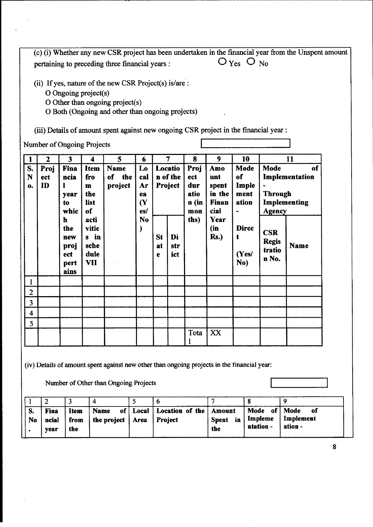(c) (i) Whether any new CSR project has been undertaken in the financial year from the Unspent amount  $O_{Yes}$   $O_{No}$ pertaining to preceding three financial years :

(ii) If yes, nature of the new CSR Project(s) is/are :

- O Ongoing project(s)
- O Other than ongoing project(s)
- O Both (Ongoing and other than ongoing projects)

(iii) Details of amount spent against new ongoing CSR project in the financial year :

Number of Ongoing Projects

| 1              | $\mathbf{2}$      | 3                                                      | 4                                                               | 5                                   | 6                                                                         |               | $\overline{7}$                 | 8                                                  | 9                                                             | 10                                   |                                               | 11                                   |
|----------------|-------------------|--------------------------------------------------------|-----------------------------------------------------------------|-------------------------------------|---------------------------------------------------------------------------|---------------|--------------------------------|----------------------------------------------------|---------------------------------------------------------------|--------------------------------------|-----------------------------------------------|--------------------------------------|
| S.<br>N<br>0.  | Proj<br>ect<br>ID | Fina<br>ncia<br>ı<br>year<br>to<br>whic<br>$\mathbf h$ | <b>Item</b><br>fro<br>$\mathbf{m}$<br>the<br>list<br>of<br>acti | <b>Name</b><br>of<br>the<br>project | Lo<br>cal<br>Ar<br>ea<br>$\overline{\mathbf{Y}}$<br>es/<br>N <sub>0</sub> |               | Locatio<br>n of the<br>Project | Proj<br>ect<br>dur<br>atio<br>n (in<br>mon<br>ths) | Amo<br>unt<br>spent<br>in the<br><b>Finan</b><br>cial<br>Year | Mode<br>of<br>Imple<br>ment<br>ation | Mode<br><b>Through</b><br>Agency              | of<br>Implementation<br>Implementing |
|                |                   | the<br>new<br>proj<br>ect<br>pert<br>ains              | vitie<br>s in<br>sche<br>dule<br>VII                            |                                     |                                                                           | St<br>at<br>e | Di<br>str<br>ict               |                                                    | (in<br><b>Rs.)</b>                                            | <b>Direc</b><br>ŧ<br>(Yes/<br>No)    | <b>CSR</b><br><b>Regis</b><br>tratio<br>n No. | <b>Name</b>                          |
| 1              |                   |                                                        |                                                                 |                                     |                                                                           |               |                                |                                                    |                                                               |                                      |                                               |                                      |
| $\overline{2}$ |                   |                                                        |                                                                 |                                     |                                                                           |               |                                |                                                    |                                                               |                                      |                                               |                                      |
| 3              |                   |                                                        |                                                                 |                                     |                                                                           |               |                                |                                                    |                                                               |                                      |                                               |                                      |
| 4              |                   |                                                        |                                                                 |                                     |                                                                           |               |                                |                                                    |                                                               |                                      |                                               |                                      |
| 5              |                   |                                                        |                                                                 |                                     |                                                                           |               |                                |                                                    |                                                               |                                      |                                               |                                      |
|                |                   |                                                        |                                                                 |                                     |                                                                           |               |                                | Tota                                               | XX                                                            |                                      |                                               |                                      |

(iv) Details of amount spent against new other than ongoing projects in the financial year:

Number of Other than Ongoing Projects

 $\overline{2}$  $\overline{\mathbf{3}}$  $\overline{4}$  $\overline{5}$  $\overline{6}$  $\overline{7}$  $\overline{\mathbf{8}}$ 9  $\mathbf{1}$ Name **Location of the Mode Mode**  $\overline{\mathbf{S}}$ . Fina **Item** Local **Amount**  $\overline{of}$  $\overline{d}$ of Impleme Implement Project from the project Area Spent in N<sub>0</sub> ncial ation ntationyear the the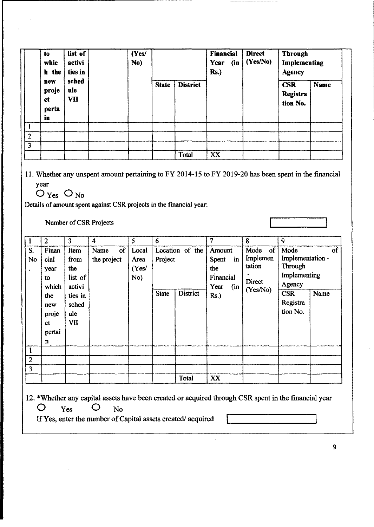|                | to<br>whic<br>h the               | list of<br>activi<br>ties in | (Yes/<br>No) |              |                 | <b>Financial</b><br>Year<br>(n)<br><b>Rs.</b> ) | <b>Direct</b><br>(Yes/No) | <b>Through</b><br>Implementing<br><b>Agency</b> |             |
|----------------|-----------------------------------|------------------------------|--------------|--------------|-----------------|-------------------------------------------------|---------------------------|-------------------------------------------------|-------------|
|                | new<br>proje<br>ct<br>perta<br>in | sched<br>ule<br>VII          |              | <b>State</b> | <b>District</b> |                                                 |                           | <b>CSR</b><br><b>Registra</b><br>tion No.       | <b>Name</b> |
|                |                                   |                              |              |              |                 |                                                 |                           |                                                 |             |
| $\overline{2}$ |                                   |                              |              |              |                 |                                                 |                           |                                                 |             |
| 3              |                                   |                              |              |              |                 |                                                 |                           |                                                 |             |
|                |                                   |                              |              |              | Total           | XX                                              |                           |                                                 |             |

11. Whether any unspent amount pertaining to FY 2014-15 to FY 2019-20 has been spent in the financial year

 $O_{Yes}$   $O_{No}$ 

Details of amount spent against CSR projects in the financial year:

Number of CSR Projects

|                | $\overline{2}$ | 3                      | 4           |               | 5                    | 6            |                 | 7                                          | 8                   | 9                              |      |
|----------------|----------------|------------------------|-------------|---------------|----------------------|--------------|-----------------|--------------------------------------------|---------------------|--------------------------------|------|
| S.             | Finan<br>cial  | Item                   | Name        | $of \sqrt{ }$ | Local                |              | Location of the | Amount                                     | Mode of<br>Implemen | Mode<br>Implementation -       | of   |
| No<br>٠        | year<br>to.    | from<br>the<br>list of | the project |               | Area<br>(Yes/<br>No) | Project      |                 | $\mathbf{in}$<br>Spent<br>the<br>Financial | tation              | <b>Through</b><br>Implementing |      |
|                | which          | activi                 |             |               |                      |              |                 | Year<br>(in)                               | Direct<br>(Yes/No)  | Agency                         |      |
|                | the            | ties in                |             |               |                      | <b>State</b> | <b>District</b> | Rs.                                        |                     | <b>CSR</b>                     | Name |
|                | new            | sched                  |             |               |                      |              |                 |                                            |                     | Registra                       |      |
|                | proje          | ule                    |             |               |                      |              |                 |                                            |                     | tion No.                       |      |
|                | сt             | VII                    |             |               |                      |              |                 |                                            |                     |                                |      |
|                | pertai         |                        |             |               |                      |              |                 |                                            |                     |                                |      |
|                | $\mathbf{n}$   |                        |             |               |                      |              |                 |                                            |                     |                                |      |
|                |                |                        |             |               |                      |              |                 |                                            |                     |                                |      |
| $\overline{2}$ |                |                        |             |               |                      |              |                 |                                            |                     |                                |      |
| 3              |                |                        |             |               |                      |              |                 |                                            |                     |                                |      |
|                |                |                        |             |               |                      |              | Total           | XX                                         |                     |                                |      |

12. \*Whether any capital assets have been created or acquired through CSR spent in the financial year 0 Yes 0 No

If Yes, enter the number of Capital assets created/acquired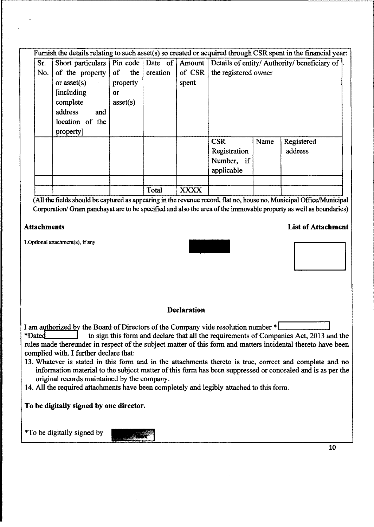|     |                 |                |          |             |                      |      | Furnish the details relating to such asset(s) so created or acquired through CSR spent in the financial year: |
|-----|-----------------|----------------|----------|-------------|----------------------|------|---------------------------------------------------------------------------------------------------------------|
| Sr. |                 |                |          |             |                      |      | Short particulars   Pin code   Date of   Amount   Details of entity/ Authority/ beneficiary of                |
| No. | of the property | of the $\vert$ | creation | of $CSR$    | the registered owner |      |                                                                                                               |
|     | or $asset(s)$   | property       |          | spent       |                      |      |                                                                                                               |
|     | [including]     | or             |          |             |                      |      |                                                                                                               |
|     | complete        | asset(s)       |          |             |                      |      |                                                                                                               |
|     | address<br>and  |                |          |             |                      |      |                                                                                                               |
|     | location of the |                |          |             |                      |      |                                                                                                               |
|     | property]       |                |          |             |                      |      |                                                                                                               |
|     |                 |                |          |             | <b>CSR</b>           | Name | Registered                                                                                                    |
|     |                 |                |          |             | Registration         |      | address                                                                                                       |
|     |                 |                |          |             | Number, if           |      |                                                                                                               |
|     |                 |                |          |             | applicable           |      |                                                                                                               |
|     |                 |                |          |             |                      |      |                                                                                                               |
|     |                 |                | Total    | <b>XXXX</b> |                      |      |                                                                                                               |

(All the fields should be captured as appearing in the revenue record, flat no, house no, Municipal OfficelMunicipal Corporation/ Gram panchayat are to be specified and also the area of the immovable property as well as boundaries)

### Attachments List of Attachment

l.Optional attachment(s), if any

#### **Declaration**

I am authorized by the Board of Directors of the Company vide resolution number \* |<br>
\*Dated to sign this form and declare that all the requirements of Company to sign this form and declare that all the requirements of Companies Act, 2013 and the rules made thereunder in respect of the subject matter of this form and matters incidental thereto have been complied with. I further declare that:

- 13. Whatever is stated in this form and in the attachments thereto is true, correct and complete and no information material to the subject matter of this form has been suppressed or concealed and is as per the original records maintained by the company.
- 14. All the required attachments have been completely and legibly attached to this form.

### To be digitally signed by one director.

\*To be digitally signed by